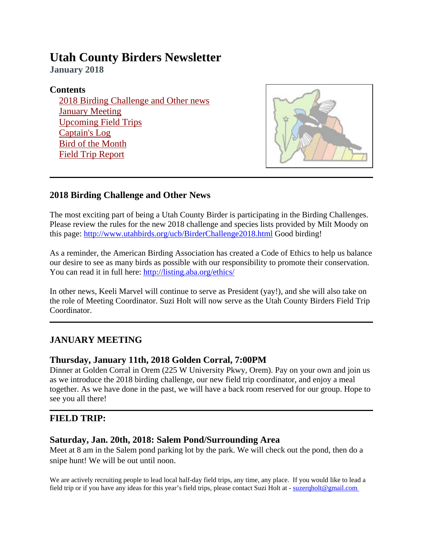# **Utah County Birders Newsletter**

**January 2018**

#### **Contents**

 2018 Birding Challenge and Other news January Meeting Upcoming Field Trips Captain's Log Bird of the Month Field Trip Report



## **2018 Birding Challenge and Other News**

The most exciting part of being a Utah County Birder is participating in the Birding Challenges. Please review the rules for the new 2018 challenge and species lists provided by Milt Moody on this page: http://www.utahbirds.org/ucb/BirderChallenge2018.html Good birding!

As a reminder, the American Birding Association has created a Code of Ethics to help us balance our desire to see as many birds as possible with our responsibility to promote their conservation. You can read it in full here: http://listing.aba.org/ethics/

In other news, Keeli Marvel will continue to serve as President (yay!), and she will also take on the role of Meeting Coordinator. Suzi Holt will now serve as the Utah County Birders Field Trip Coordinator.

## **JANUARY MEETING**

#### **Thursday, January 11th, 2018 Golden Corral, 7:00PM**

Dinner at Golden Corral in Orem (225 W University Pkwy, Orem). Pay on your own and join us as we introduce the 2018 birding challenge, our new field trip coordinator, and enjoy a meal together. As we have done in the past, we will have a back room reserved for our group. Hope to see you all there!

#### **FIELD TRIP:**

#### **Saturday, Jan. 20th, 2018: Salem Pond/Surrounding Area**

Meet at 8 am in the Salem pond parking lot by the park. We will check out the pond, then do a snipe hunt! We will be out until noon.

We are actively recruiting people to lead local half-day field trips, any time, any place. If you would like to lead a field trip or if you have any ideas for this year's field trips, please contact Suzi Holt at - suzergholt@gmail.com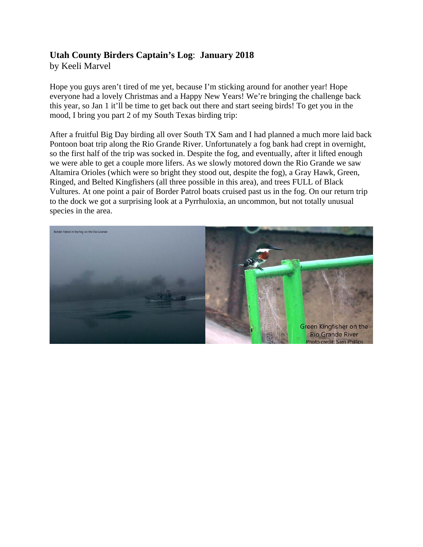#### **Utah County Birders Captain's Log**: **January 2018** by Keeli Marvel

Hope you guys aren't tired of me yet, because I'm sticking around for another year! Hope everyone had a lovely Christmas and a Happy New Years! We're bringing the challenge back this year, so Jan 1 it'll be time to get back out there and start seeing birds! To get you in the mood, I bring you part 2 of my South Texas birding trip:

After a fruitful Big Day birding all over South TX Sam and I had planned a much more laid back Pontoon boat trip along the Rio Grande River. Unfortunately a fog bank had crept in overnight, so the first half of the trip was socked in. Despite the fog, and eventually, after it lifted enough we were able to get a couple more lifers. As we slowly motored down the Rio Grande we saw Altamira Orioles (which were so bright they stood out, despite the fog), a Gray Hawk, Green, Ringed, and Belted Kingfishers (all three possible in this area), and trees FULL of Black Vultures. At one point a pair of Border Patrol boats cruised past us in the fog. On our return trip to the dock we got a surprising look at a Pyrrhuloxia, an uncommon, but not totally unusual species in the area.

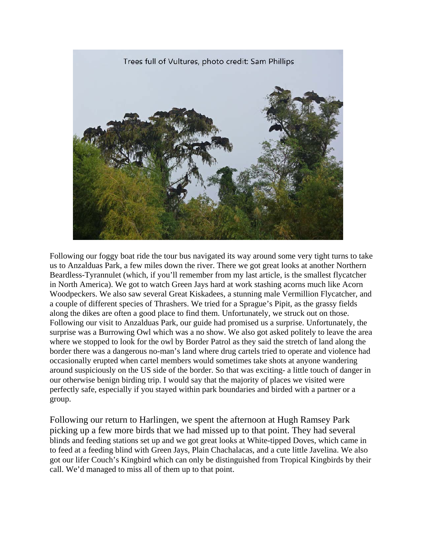

Following our foggy boat ride the tour bus navigated its way around some very tight turns to take us to Anzalduas Park, a few miles down the river. There we got great looks at another Northern Beardless-Tyrannulet (which, if you'll remember from my last article, is the smallest flycatcher in North America). We got to watch Green Jays hard at work stashing acorns much like Acorn Woodpeckers. We also saw several Great Kiskadees, a stunning male Vermillion Flycatcher, and a couple of different species of Thrashers. We tried for a Sprague's Pipit, as the grassy fields along the dikes are often a good place to find them. Unfortunately, we struck out on those. Following our visit to Anzalduas Park, our guide had promised us a surprise. Unfortunately, the surprise was a Burrowing Owl which was a no show. We also got asked politely to leave the area where we stopped to look for the owl by Border Patrol as they said the stretch of land along the border there was a dangerous no-man's land where drug cartels tried to operate and violence had occasionally erupted when cartel members would sometimes take shots at anyone wandering around suspiciously on the US side of the border. So that was exciting- a little touch of danger in our otherwise benign birding trip. I would say that the majority of places we visited were perfectly safe, especially if you stayed within park boundaries and birded with a partner or a group.

Following our return to Harlingen, we spent the afternoon at Hugh Ramsey Park picking up a few more birds that we had missed up to that point. They had several blinds and feeding stations set up and we got great looks at White-tipped Doves, which came in to feed at a feeding blind with Green Jays, Plain Chachalacas, and a cute little Javelina. We also got our lifer Couch's Kingbird which can only be distinguished from Tropical Kingbirds by their call. We'd managed to miss all of them up to that point.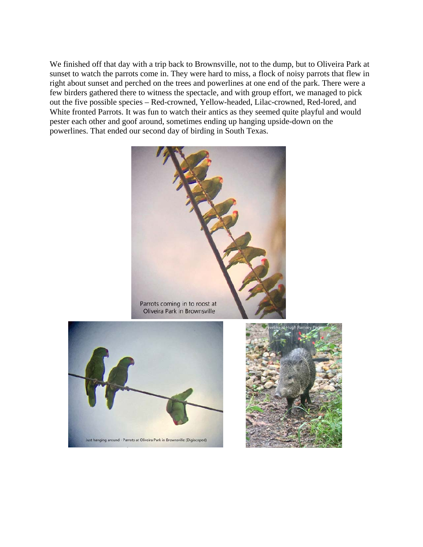We finished off that day with a trip back to Brownsville, not to the dump, but to Oliveira Park at sunset to watch the parrots come in. They were hard to miss, a flock of noisy parrots that flew in right about sunset and perched on the trees and powerlines at one end of the park. There were a few birders gathered there to witness the spectacle, and with group effort, we managed to pick out the five possible species – Red-crowned, Yellow-headed, Lilac-crowned, Red-lored, and White fronted Parrots. It was fun to watch their antics as they seemed quite playful and would pester each other and goof around, sometimes ending up hanging upside-down on the powerlines. That ended our second day of birding in South Texas.

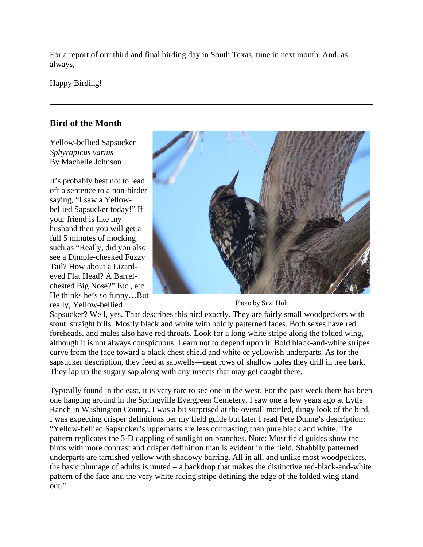For a report of our third and final birding day in South Texas, tune in next month. And, as always,

Happy Birding!

## **Bird of the Month**

Yellow-bellied Sapsucker *Sphyrapicus varius* By Machelle Johnson

It's probably best not to lead off a sentence to a non-birder saying, "I saw a Yellowbellied Sapsucker today!" If your friend is like my husband then you will get a full 5 minutes of mocking such as "Really, did you also see a Dimple-cheeked Fuzzy Tail? How about a Lizardeyed Flat Head? A Barrelchested Big Nose?" Etc., etc. He thinks he's so funny…But really, Yellow-bellied



Photo by Suzi Holt

Sapsucker? Well, yes. That describes this bird exactly. They are fairly small woodpeckers with stout, straight bills. Mostly black and white with boldly patterned faces. Both sexes have red foreheads, and males also have red throats. Look for a long white stripe along the folded wing, although it is not always conspicuous. Learn not to depend upon it. Bold black-and-white stripes curve from the face toward a black chest shield and white or yellowish underparts. As for the sapsucker description, they feed at sapwells—neat rows of shallow holes they drill in tree bark. They lap up the sugary sap along with any insects that may get caught there.

Typically found in the east, it is very rare to see one in the west. For the past week there has been one hanging around in the Springville Evergreen Cemetery. I saw one a few years ago at Lytle Ranch in Washington County. I was a bit surprised at the overall mottled, dingy look of the bird, I was expecting crisper definitions per my field guide but later I read Pete Dunne's description: "Yellow-bellied Sapsucker's upperparts are less contrasting than pure black and white. The pattern replicates the 3-D dappling of sunlight on branches. Note: Most field guides show the birds with more contrast and crisper definition than is evident in the field. Shabbily patterned underparts are tarnished yellow with shadowy barring. All in all, and unlike most woodpeckers, the basic plumage of adults is muted – a backdrop that makes the distinctive red-black-and-white pattern of the face and the very white racing stripe defining the edge of the folded wing stand out."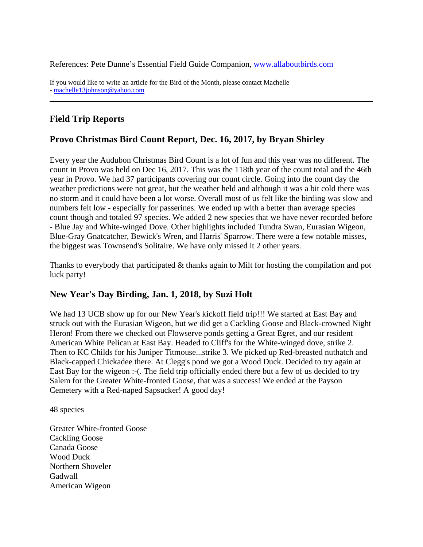References: Pete Dunne's Essential Field Guide Companion, www.allaboutbirds.com

If you would like to write an article for the Bird of the Month, please contact Machelle - machelle13johnson@yahoo.com

### **Field Trip Reports**

#### **Provo Christmas Bird Count Report, Dec. 16, 2017, by Bryan Shirley**

Every year the Audubon Christmas Bird Count is a lot of fun and this year was no different. The count in Provo was held on Dec 16, 2017. This was the 118th year of the count total and the 46th year in Provo. We had 37 participants covering our count circle. Going into the count day the weather predictions were not great, but the weather held and although it was a bit cold there was no storm and it could have been a lot worse. Overall most of us felt like the birding was slow and numbers felt low - especially for passerines. We ended up with a better than average species count though and totaled 97 species. We added 2 new species that we have never recorded before - Blue Jay and White-winged Dove. Other highlights included Tundra Swan, Eurasian Wigeon, Blue-Gray Gnatcatcher, Bewick's Wren, and Harris' Sparrow. There were a few notable misses, the biggest was Townsend's Solitaire. We have only missed it 2 other years.

Thanks to everybody that participated & thanks again to Milt for hosting the compilation and pot luck party!

#### **New Year's Day Birding, Jan. 1, 2018, by Suzi Holt**

We had 13 UCB show up for our New Year's kickoff field trip!!! We started at East Bay and struck out with the Eurasian Wigeon, but we did get a Cackling Goose and Black-crowned Night Heron! From there we checked out Flowserve ponds getting a Great Egret, and our resident American White Pelican at East Bay. Headed to Cliff's for the White-winged dove, strike 2. Then to KC Childs for his Juniper Titmouse...strike 3. We picked up Red-breasted nuthatch and Black-capped Chickadee there. At Clegg's pond we got a Wood Duck. Decided to try again at East Bay for the wigeon :-(. The field trip officially ended there but a few of us decided to try Salem for the Greater White-fronted Goose, that was a success! We ended at the Payson Cemetery with a Red-naped Sapsucker! A good day!

48 species

Greater White-fronted Goose Cackling Goose Canada Goose Wood Duck Northern Shoveler Gadwall American Wigeon